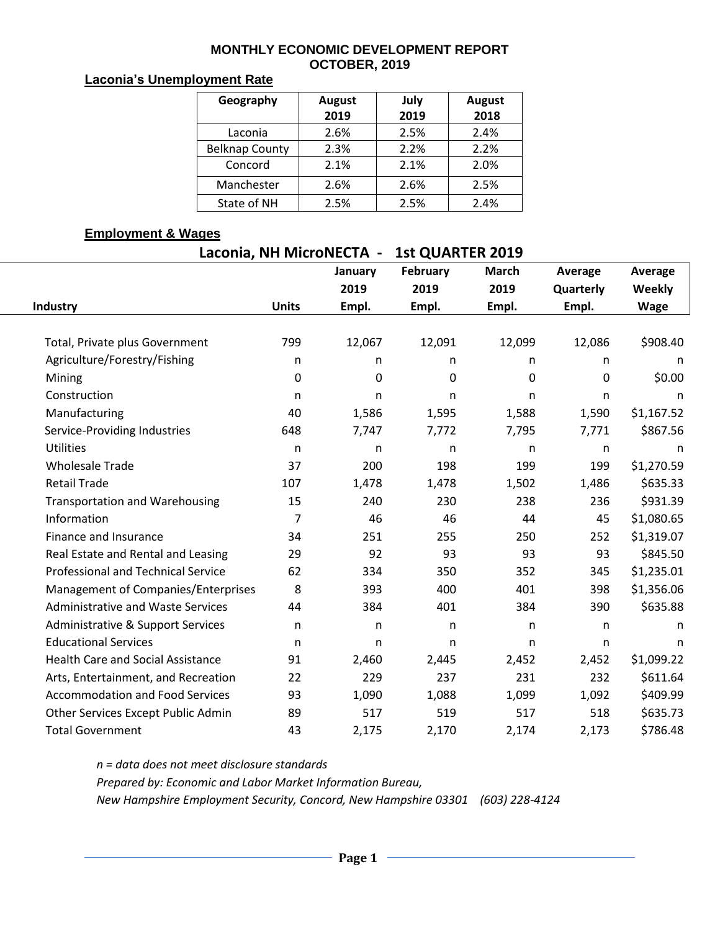#### **MONTHLY ECONOMIC DEVELOPMENT REPORT OCTOBER, 2019**

### **Laconia's Unemployment Rate**

| Geography             | <b>August</b><br>2019 | July<br>2019 | <b>August</b><br>2018 |
|-----------------------|-----------------------|--------------|-----------------------|
| Laconia               | 2.6%                  | 2.5%         | 2.4%                  |
| <b>Belknap County</b> | 2.3%                  | 2.2%         | 2.2%                  |
| Concord               | 2.1%                  | 2.1%         | 2.0%                  |
| Manchester            | 2.6%                  | 2.6%         | 2.5%                  |
| State of NH           | 2.5%                  | 2.5%         | 2.4%                  |

#### **Employment & Wages**

| Laconia, NH MicroNECTA - | <b>1st QUARTER 2019</b> |
|--------------------------|-------------------------|
|                          |                         |

|                | January                                                     | February                                                            | <b>March</b>                                                                 | Average                                                             | Average                                                                           |                                                                                                                |
|----------------|-------------------------------------------------------------|---------------------------------------------------------------------|------------------------------------------------------------------------------|---------------------------------------------------------------------|-----------------------------------------------------------------------------------|----------------------------------------------------------------------------------------------------------------|
|                |                                                             |                                                                     |                                                                              |                                                                     |                                                                                   |                                                                                                                |
|                |                                                             |                                                                     |                                                                              |                                                                     |                                                                                   |                                                                                                                |
|                |                                                             |                                                                     |                                                                              |                                                                     |                                                                                   |                                                                                                                |
|                |                                                             |                                                                     |                                                                              |                                                                     |                                                                                   |                                                                                                                |
|                |                                                             |                                                                     |                                                                              |                                                                     |                                                                                   |                                                                                                                |
|                |                                                             |                                                                     |                                                                              |                                                                     |                                                                                   |                                                                                                                |
| n              | n.                                                          | n                                                                   | n                                                                            | n                                                                   | n                                                                                 |                                                                                                                |
|                |                                                             |                                                                     |                                                                              |                                                                     |                                                                                   |                                                                                                                |
| 648            | 7,747                                                       | 7,772                                                               | 7,795                                                                        | 7,771                                                               | \$867.56                                                                          |                                                                                                                |
| n              | n                                                           | n                                                                   | n                                                                            | n                                                                   | n                                                                                 |                                                                                                                |
| 37             | 200                                                         | 198                                                                 | 199                                                                          | 199                                                                 | \$1,270.59                                                                        |                                                                                                                |
| 107            | 1,478                                                       | 1,478                                                               | 1,502                                                                        | 1,486                                                               | \$635.33                                                                          |                                                                                                                |
| 15             | 240                                                         | 230                                                                 | 238                                                                          | 236                                                                 | \$931.39                                                                          |                                                                                                                |
| $\overline{7}$ | 46                                                          | 46                                                                  | 44                                                                           | 45                                                                  | \$1,080.65                                                                        |                                                                                                                |
| 34             | 251                                                         | 255                                                                 | 250                                                                          | 252                                                                 | \$1,319.07                                                                        |                                                                                                                |
| 29             | 92                                                          | 93                                                                  | 93                                                                           | 93                                                                  | \$845.50                                                                          |                                                                                                                |
| 62             | 334                                                         | 350                                                                 | 352                                                                          | 345                                                                 | \$1,235.01                                                                        |                                                                                                                |
| 8              | 393                                                         | 400                                                                 | 401                                                                          | 398                                                                 | \$1,356.06                                                                        |                                                                                                                |
| 44             | 384                                                         | 401                                                                 | 384                                                                          | 390                                                                 | \$635.88                                                                          |                                                                                                                |
| n              | n                                                           | n                                                                   | n                                                                            | n                                                                   | n.                                                                                |                                                                                                                |
| n              | n.                                                          | n                                                                   | n                                                                            | n                                                                   | n                                                                                 |                                                                                                                |
| 91             | 2,460                                                       |                                                                     | 2,452                                                                        |                                                                     | \$1,099.22                                                                        |                                                                                                                |
|                | 229                                                         | 237                                                                 | 231                                                                          | 232                                                                 |                                                                                   |                                                                                                                |
|                |                                                             |                                                                     |                                                                              |                                                                     |                                                                                   |                                                                                                                |
|                |                                                             |                                                                     |                                                                              |                                                                     |                                                                                   |                                                                                                                |
|                |                                                             |                                                                     |                                                                              |                                                                     |                                                                                   |                                                                                                                |
|                | <b>Units</b><br>799<br>n<br>0<br>40<br>22<br>93<br>89<br>43 | 2019<br>Empl.<br>12,067<br>n<br>0<br>1,586<br>1,090<br>517<br>2,175 | 2019<br>Empl.<br>12,091<br>n<br>0<br>1,595<br>2,445<br>1,088<br>519<br>2,170 | 2019<br>Empl.<br>12,099<br>n<br>0<br>1,588<br>1,099<br>517<br>2,174 | Quarterly<br>Empl.<br>12,086<br>n<br>0<br>1,590<br>2,452<br>1,092<br>518<br>2,173 | Weekly<br><b>Wage</b><br>\$908.40<br>n<br>\$0.00<br>\$1,167.52<br>\$611.64<br>\$409.99<br>\$635.73<br>\$786.48 |

*n = data does not meet disclosure standards Prepared by: Economic and Labor Market Information Bureau,* 

*New Hampshire Employment Security, Concord, New Hampshire 03301 (603) 228-4124*